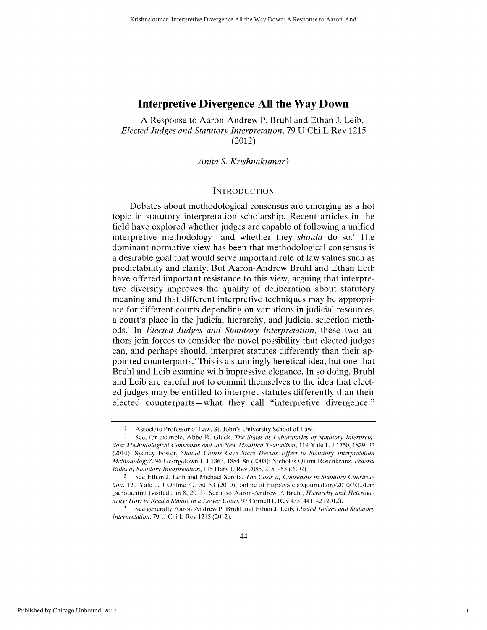A Response to Aaron-Andrew P. Bruhl and Ethan J. Leib, *Elected Judges and Statutory Interpretation,* 79 U Chi L Rev 1215 (2012)

*Anita S. Krishnakumart*

#### **INTRODUCTION**

Debates about methodological consensus are emerging as a hot topic in statutory interpretation scholarship. Recent articles in the field have explored whether judges are capable of following a unified interpretive methodology—and whether they *should* do so.<sup>1</sup> The dominant normative view has been that methodological consensus is a desirable goal that would serve important rule of law values such as predictability and clarity. But Aaron-Andrew Bruhl and Ethan Leib have offered important resistance to this view, arguing that interpretive diversity improves the quality of deliberation about statutory meaning and that different interpretive techniques may be appropriate for different courts depending on variations in judicial resources, a court's place in the judicial hierarchy, and judicial selection methods. In *Elected Judges and Statutory Interpretation,* these two authors join forces to consider the novel possibility that elected judges can, and perhaps should, interpret statutes differently than their appointed counterparts.<sup>3</sup> This is a stunningly heretical idea, but one that Bruhl and Leib examine with impressive elegance. In so doing, Bruhl and Leib are careful not to commit themselves to the idea that elected judges may be entitled to interpret statutes differently than their elected counterparts—what they call "interpretive divergence."

1

**f** Associate Profcssor of Law, St. John's University School of Law.

**<sup>1</sup>** See, for example, Abbe R. Gluck, *The States as Laboratories of Statutory Interpretation: Methodological Consensus and the New Modified Textualism,* 119 Yale L J 1750, 1829-32 (2010); Sydney Foster, Should Courts Give Stare Decisis Effect to Statutory Interpretation *Methodology?,* 96 Georgetown L J 1863, 1884 86 (2008); Nicholas Quinn Roscnkranz, *Federal Rules of Statutory Interpretation,* 115 Harv L Rev 2085, 2151-53 (2002).

<sup>2</sup> Sec Ethan J. Lcib and Michael Scrota, *The Costs of Consensus in Statutory Construc*tion, 120 Yale L J Online 47, 50-53 (2010), online at http://yalelawjournal.org/2010/7/30/leib \_serota.html (visited Jan 8, 2013). See also Aaron-Andrew P. Bruhl, *Hierarchy and Heteroge*neity: How to Read a Statute in a Lower Court, 97 Cornell L Rev 433, 441-42 (2012).

**<sup>3</sup>** Sec generally Aaron-Andrew P. Bruhl and Ethan J. Leib, *Elected Judges and Statutory Interpretation,* 79 U Chi L Rev 1215 (2012).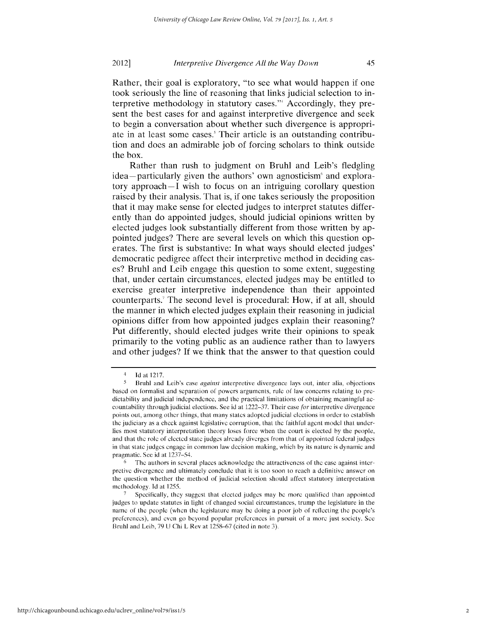Rather, their goal is exploratory, "to see what would happen if one took seriously the line of reasoning that links judicial selection to interpretive methodology in statutory cases."' Accordingly, they present the best cases for and against interpretive divergence and seek to begin a conversation about whether such divergence is appropriate in at least some cases.<sup>5</sup> Their article is an outstanding contribution and does an admirable job of forcing scholars to think outside the box.

Rather than rush to judgment on Bruhl and Leib's fledgling idea- particularly given the authors' own agnosticism' and exploratory approach **-I** wish to focus on an intriguing corollary question raised by their analysis. That is, if one takes seriously the proposition that it may make sense for elected judges to interpret statutes differently than do appointed judges, should judicial opinions written by elected judges look substantially different from those written by appointed judges? There are several levels on which this question operates. The first is substantive: In what ways should elected judges' democratic pedigree affect their interpretive method in deciding cases? Bruhl and Leib engage this question to some extent, suggesting that, under certain circumstances, elected judges may be entitled to exercise greater interpretive independence than their appointed counterparts.<sup>7</sup> The second level is procedural: How, if at all, should the manner in which elected judges explain their reasoning in judicial opinions differ from how appointed judges explain their reasoning? Put differently, should elected judges write their opinions to speak primarily to the voting public as an audience rather than to lawyers and other judges? **If** we think that the answer to that question could

 $\frac{4}{5}$  Id at 1217.<br>**Bruhl** and

*<sup>5</sup>* Bruhl and Leib's case against interpretive divergence lays out, inter alia, objections based on formalist and separation of powers arguments, rule of law concerns relating to predictability and judicial independence, and the practical limitations of obtaining meaningful accountability through judicial elections. See id at 1222-37. Their case for interpretive divergence points out, among other things, that many states adopted judicial elections in order to establish the judiciary as a check against legislative corruption, that the faithful agent model that underlies most statutory interpretation theory loses force when the court is elected by the people, and that the role of elected state judges already diverges from that of appointed federal judges in that state judges engage in common law decision making, which by its nature is dynamic and pragmatic. See id at 1237-54.

The authors in several places acknowledge the attractiveness of the case against interpretive divergence and ultimately conclude that it is too soon to reach a definitive answer on the question whether the method of judicial selection should affect statutory interpretation methodology. Id at 1255.

**<sup>7</sup>** Specifically, they suggest that elected judges may be more qualified than appointed judges to update statutes in light of changed social circumstances, trump the legislature in the name of the people (when the legislature may bc doing a poor job of rellecting the people's preferences), and even go beyond popular preferences in pursuit of a more just society. Sec Bruhl and Leib, 79 U Chi L Rev at 1258-67 (cited in note 3).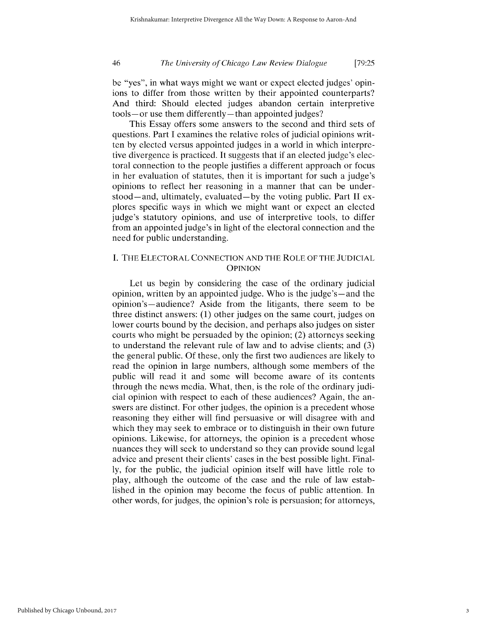be "yes", in what ways might we want or expect elected judges' opinions to differ from those written by their appointed counterparts? And third: Should elected judges abandon certain interpretive tools- or use them differently- than appointed judges?

This Essay offers some answers to the second and third sets of questions. Part **I** examines the relative roles of judicial opinions written by elected versus appointed judges in a world in which interpretive divergence is practiced. It suggests that if an elected judge's electoral connection to the people justifies a different approach or focus in her evaluation of statutes, then it is important for such a judge's opinions to reflect her reasoning in a manner that can be understood—and, ultimately, evaluated—by the voting public. Part II explores specific ways in which we might want or expect an elected judge's statutory opinions, and use of interpretive tools, to differ from an appointed judge's in light of the electoral connection and the need for public understanding.

## **I.** THE ELECTORAL **CONNECTION AND** THE ROLE OF THE **JUDICIAL OPINION**

Let us begin by considering the case of the ordinary judicial opinion, written by an appointed judge. Who is the judge's  $-$  and the opinion's—audience? Aside from the litigants, there seem to be three distinct answers: (1) other judges on the same court, judges on lower courts bound by the decision, and perhaps also judges on sister courts who might be persuaded by the opinion; (2) attorneys seeking to understand the relevant rule of law and to advise clients; and (3) the general public. Of these, only the first two audiences are likely to read the opinion in large numbers, although some members of the public will read it and some will become aware of its contents through the news media. What, then, is the role of the ordinary judicial opinion with respect to each of these audiences? Again, the answers are distinct. For other judges, the opinion is a precedent whose reasoning they either will find persuasive or will disagree with and which they may seek to embrace or to distinguish in their own future opinions. Likewise, for attorneys, the opinion is a precedent whose nuances they will seek to understand so they can provide sound legal advice and present their clients' cases in the best possible light. Finally, for the public, the judicial opinion itself will have little role to play, although the outcome of the case and the rule of law established in the opinion may become the focus of public attention. In other words, for judges, the opinion's role is persuasion; for attorneys,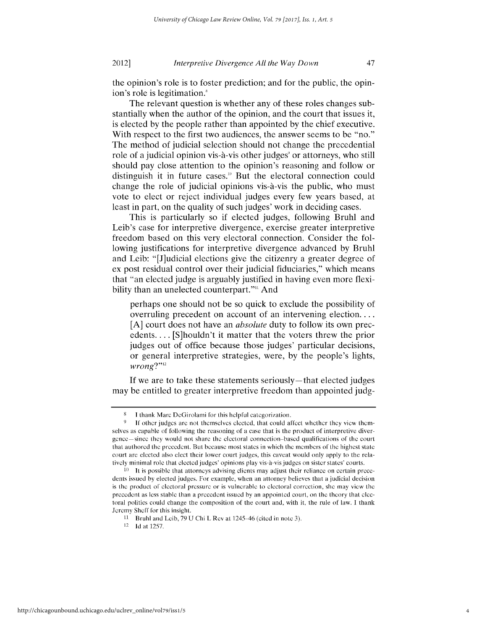47

the opinion's role is to foster prediction; and for the public, the opinion's role is legitimation.<sup>8</sup>

The relevant question is whether any of these roles changes substantially when the author of the opinion, and the court that issues it, is elected by the people rather than appointed by the chief executive. With respect to the first two audiences, the answer seems to be "no." The method of judicial selection should not change the precedential role of a judicial opinion vis-à-vis other judges<sup>9</sup> or attorneys, who still should pay close attention to the opinion's reasoning and follow or distinguish it in future cases." But the electoral connection could change the role of judicial opinions vis-à-vis the public, who must vote to elect or reject individual judges every few years based, at least in part, on the quality of such judges' work in deciding cases.

This is particularly so if elected judges, following Bruhl and Leib's case for interpretive divergence, exercise greater interpretive freedom based on this very electoral connection. Consider the following justifications for interpretive divergence advanced by Bruhl and Leib: "[J]udicial elections give the citizenry a greater degree of ex post residual control over their judicial fiduciaries," which means that "an elected judge is arguably justified in having even more flexibility than an unelected counterpart."<sup>11</sup> And

perhaps one should not be so quick to exclude the possibility of overruling precedent on account of an intervening election.... [A] court does not have an *absolute* duty to follow its own precedents.... [S]houldn't it matter that the voters threw the prior judges out of office because those judges' particular decisions, or general interpretive strategies, were, by the people's lights, wrong?"<sup>12</sup>

If we are to take these statements seriously—that elected judges may be entitled to greater interpretive freedom than appointed judg-

<sup>8</sup> **1** thank Marc DeGirolami for this helplul categorization.

<sup>&</sup>lt;sup>9</sup> If other judges are not themselves elected, that could affect whether they view themselves as capable of following the reasoning of a case that is the product of interpretive divergence—since they would not share the electoral connection-based qualifications of the court that authored the precedent. But because most states in which the members of the highest state court are elected also elect their lower court judges, this caveat would only apply to the relatively minimal role that elected judges' opinions play vis-a-vis judges on sister states' courts.

**<sup>10</sup>** It is possible that attorneys advising clients may adjust their reliance on certain precedents issued by elected judges. For example, when an attorney believes that a judicial decision is the product of electoral pressure or is vulnerable to electoral correction, she may view the precedent as less stable than a precedent issued by an appointed court, on the theory that electoral politics could change the composition of the court and, with it, the rule of law. I thank Jeremy Sheff for this insight.

 $11$  Bruhl and Leib, 79 U Chi L Rev at 1245–46 (cited in note 3).

<sup>12</sup> **Idat** 1257.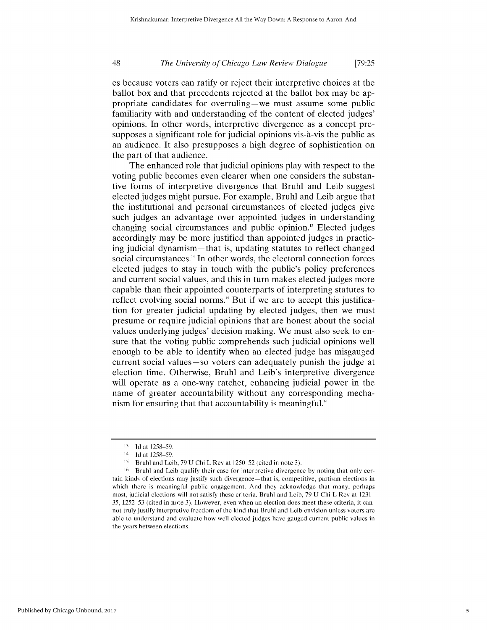es because voters can ratify or reject their interpretive choices at the ballot box and that precedents rejected at the ballot box may be appropriate candidates for overruling-we must assume some public familiarity with and understanding of the content of elected judges' opinions. In other words, interpretive divergence as a concept presupposes a significant role for judicial opinions vis-à-vis the public as an audience. It also presupposes a high degree of sophistication on the part of that audience.

The enhanced role that judicial opinions play with respect to the voting public becomes even clearer when one considers the substantive forms of interpretive divergence that Bruhl and Leib suggest elected judges might pursue. For example, Bruhl and Leib argue that the institutional and personal circumstances of elected judges give such judges an advantage over appointed judges in understanding changing social circumstances and public opinion.<sup>13</sup> Elected judges accordingly may be more justified than appointed judges in practicing judicial dynamism-that is, updating statutes to reflect changed social circumstances." In other words, the electoral connection forces elected judges to stay in touch with the public's policy preferences and current social values, and this in turn makes elected judges more capable than their appointed counterparts of interpreting statutes to reflect evolving social norms." But if we are to accept this justification for greater judicial updating by elected judges, then we must presume or require judicial opinions that are honest about the social values underlying judges' decision making. We must also seek to ensure that the voting public comprehends such judicial opinions well enough to be able to identify when an elected judge has misgauged current social values-so voters can adequately punish the judge at election time. Otherwise, Bruhl and Leib's interpretive divergence will operate as a one-way ratchet, enhancing judicial power in the name of greater accountability without any corresponding mechanism for ensuring that that accountability is meaningful.

**<sup>13</sup> Id** at **1258** 59.

<sup>14</sup> **Id** at 1258-59.

<sup>&</sup>lt;sup>15</sup> Bruhl and Leib, 79 U Chi L Rev at 1250–52 (cited in note 3).

<sup>16</sup> Bruhl and Leib qualify their case for interpretive divergence by noting that only certain kinds of elections may justify such divergence-that is, competitive, partisan elections in which there is meaningful public engagement. And they acknowledge that many, perhaps most, judicial elections will not satisfy these criteria. Bruhl and Leib, 79 U Chi L Rev at 1231 35, 1252-53 (cited in note 3). However, even when an election does meet these criteria, it cannot truly justify interpretive freedom of the kind that Bruhl and Leib envision unless voters are able to understand and evaluate how well elected judges have gauged current public values in the years between elections.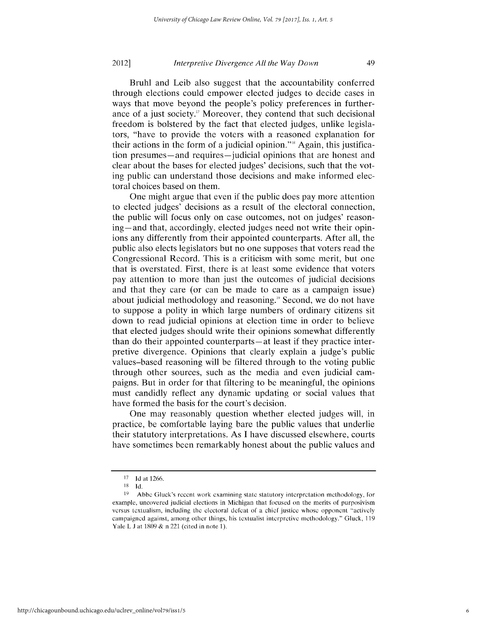Bruhl and Leib also suggest that the accountability conferred through elections could empower elected judges to decide cases in ways that move beyond the people's policy preferences in furtherance of a just society." Moreover, they contend that such decisional freedom is bolstered by the fact that elected judges, unlike legislators, "have to provide the voters with a reasoned explanation for their actions in the form of a judicial opinion."" Again, this justification presumes-and requires-judicial opinions that are honest and clear about the bases for elected judges' decisions, such that the voting public can understand those decisions and make informed electoral choices based on them.

One might argue that even if the public does pay more attention to elected judges' decisions as a result of the electoral connection, the public will focus only on case outcomes, not on judges' reasoning—and that, accordingly, elected judges need not write their opinions any differently from their appointed counterparts. After all, the public also elects legislators but no one supposes that voters read the Congressional Record. This is a criticism with some merit, but one that is overstated. First, there is at least some evidence that voters pay attention to more than just the outcomes of judicial decisions and that they care (or can be made to care as a campaign issue) about judicial methodology and reasoning." Second, we do not have to suppose a polity in which large numbers of ordinary citizens sit down to read judicial opinions at election time in order to believe that elected judges should write their opinions somewhat differently than do their appointed counterparts-at least if they practice interpretive divergence. Opinions that clearly explain a judge's public values-based reasoning will be filtered through to the voting public through other sources, such as the media and even judicial campaigns. But in order for that filtering to be meaningful, the opinions must candidly reflect any dynamic updating or social values that have formed the basis for the court's decision.

One may reasonably question whether elected judges will, in practice, be comfortable laying bare the public values that underlie their statutory interpretations. As I have discussed elsewhere, courts have sometimes been remarkably honest about the public values and

<sup>17</sup> **Id** at 1266.

<sup>18</sup> **Id.**

<sup>&</sup>lt;sup>19</sup> Abbe Gluck's recent work examining state statutory interpretation methodology, for example, uncovered judicial elections in Michigan that focused on the merits of purposivism versus textualism, including the electoral defeat of a chief justice whose opponent "actively campaigned against, among other things, his textualist interpretive methodology." Gluck, 119 Yale L J at 1809 & n 221 (cited in note 1).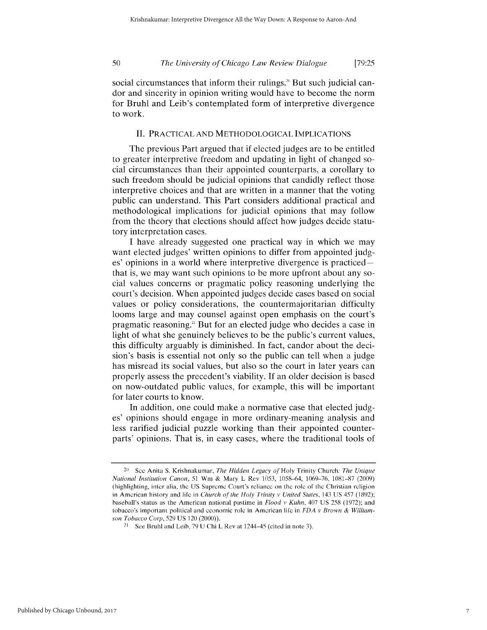social circumstances that inform their rulings.<sup>20</sup> But such judicial candor and sincerity in opinion writing would have to become the norm for Bruhl and Leib's contemplated form of interpretive divergence to work.

## II. PRACTICAL AND METHODOLOGICAL IMPLICATIONS

The previous Part argued that if elected judges are to be entitled to greater interpretive freedom and updating in light of changed social circumstances than their appointed counterparts, a corollary to such freedom should be judicial opinions that candidly reflect those interpretive choices and that are written in a manner that the voting public can understand. This Part considers additional practical and methodological implications for judicial opinions that may follow from the theory that elections should affect how judges decide statutory interpretation cases.

I have already suggested one practical way in which we may want elected judges' written opinions to differ from appointed judges' opinions in a world where interpretive divergence is practicedthat is, we may want such opinions to be more upfront about any social values concerns or pragmatic policy reasoning underlying the court's decision. When appointed judges decide cases based on social values or policy considerations, the countermajoritarian difficulty looms large and may counsel against open emphasis on the court's pragmatic reasoning.<sup>21</sup> But for an elected judge who decides a case in light of what she genuinely believes to be the public's current values, this difficulty arguably is diminished. In fact, candor about the decision's basis is essential not only so the public can tell when a judge has misread its social values, but also so the court in later years can properly assess the precedent's viability. If an older decision is based on now-outdated public values, for example, this will be important for later courts to know.

In addition, one could make a normative case that elected judges' opinions should engage in more ordinary-meaning analysis and less rarified judicial puzzle working than their appointed counterparts' opinions. That is, in easy cases, where the traditional tools of

<sup>20</sup> **SeC** Anita S. Krishnakumar, *The Hidden Legacy of* Holy Trinity Church: *The Unique National Institution Canon,* 51 Wm & Mary L Rev 1053, 1058-64, 1069-76, 1081-87 (2009) (highlighting, intcr alia, the US Suprcme Court's reliance on thc rolc of thc Christian rcligion in Amcrican history and lifc in *Church of the Holy Trinity* v *United States,* 143 US 457 (1892); baseball's status as the American national pastime in *Flood v Kuhn,* 407 US 258 (1972); and tobacco's important political and economic role in American lifc in *FDA* v *Brown & Williamson Tobacco Corp,* 529 US 120 (2000)).

<sup>&</sup>lt;sup>21</sup> See Bruhl and Leib, 79 U Chi L Rev at  $1244-45$  (cited in note 3).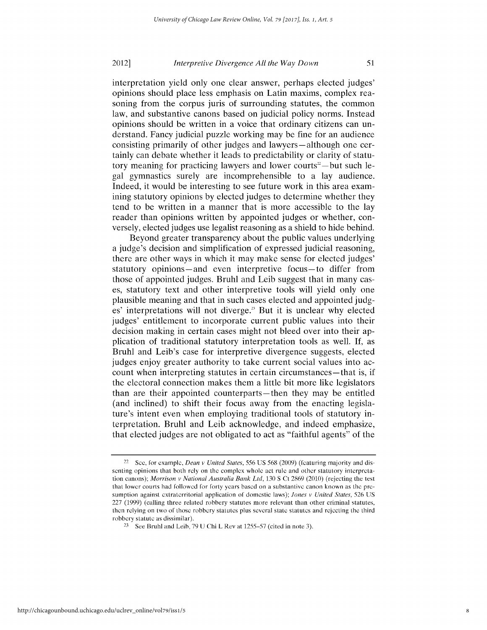51

interpretation yield only one clear answer, perhaps elected judges' opinions should place less emphasis on Latin maxims, complex reasoning from the corpus juris of surrounding statutes, the common law, and substantive canons based on judicial policy norms. Instead opinions should be written in a voice that ordinary citizens can understand. Fancy judicial puzzle working may be fine for an audience consisting primarily of other judges and lawyers-although one certainly can debate whether it leads to predictability or clarity of statutory meaning for practicing lawyers and lower courts<sup> $2$ </sup>—but such legal gymnastics surely are incomprehensible to a lay audience. Indeed, it would be interesting to see future work in this area examining statutory opinions by elected judges to determine whether they tend to be written in a manner that is more accessible to the lay reader than opinions written by appointed judges or whether, conversely, elected judges use legalist reasoning as a shield to hide behind.

Beyond greater transparency about the public values underlying a judge's decision and simplification of expressed judicial reasoning, there are other ways in which it may make sense for elected judges' statutory opinions—and even interpretive focus—to differ from those of appointed judges. Bruhl and Leib suggest that in many cases, statutory text and other interpretive tools will yield only one plausible meaning and that in such cases elected and appointed judges' interpretations will not diverge." But it is unclear why elected judges' entitlement to incorporate current public values into their decision making in certain cases might not bleed over into their application of traditional statutory interpretation tools as well. If, as Bruhl and Leib's case for interpretive divergence suggests, elected judges enjoy greater authority to take current social values into account when interpreting statutes in certain circumstances—that is, if the electoral connection makes them a little bit more like legislators than are their appointed counterparts—then they may be entitled (and inclined) to shift their focus away from the enacting legislature's intent even when employing traditional tools of statutory interpretation. Bruhl and Leib acknowledge, and indeed emphasize, that elected judges are not obligated to act as "faithful agents" of the

<sup>22</sup> **See,** for example, *Dean v United States,* 556 US 568 (2009) (featuring majority and dissenting opinions that both rely on the complex whole act rule and other statutory interpretation canons); *Morrison v National Australia Bank Ltd,* 130 S Ct 2869 (2010) (rejecting the test that lower courts had followed for forty years based on a substantive canon known as the **pre**sumption against extraterritorial application of domestic laws); *Jones v United States,* 526 US 227 (1999) (calling three related robbery statutes more relevant than other criminal statutes, then relying on two of those robbery statutes plus several state statutes and rejecting the third robbery statute as dissimilar).

<sup>&</sup>lt;sup>23</sup> See Bruhl and Leib, 79 U Chi L Rev at  $1255-57$  (cited in note 3).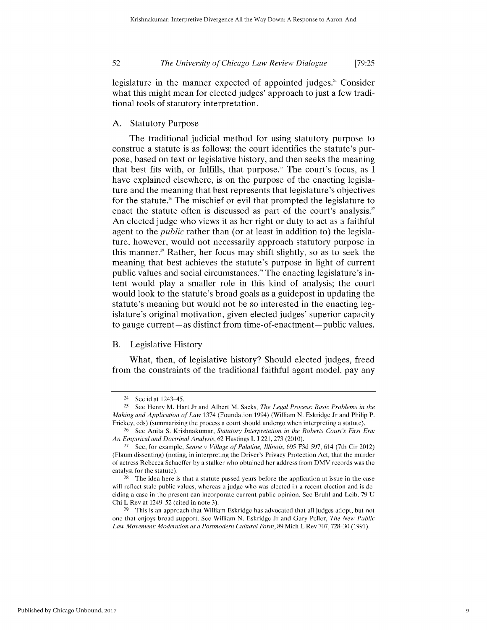legislature in the manner expected of appointed judges.' Consider what this might mean for elected judges' approach to just a few traditional tools of statutory interpretation.

## A. Statutory Purpose

The traditional judicial method for using statutory purpose to construe a statute is as follows: the court identifies the statute's purpose, based on text or legislative history, and then seeks the meaning that best fits with, or fulfills, that purpose.<sup>25</sup> The court's focus, as I have explained elsewhere, is on the purpose of the enacting legislature and the meaning that best represents that legislature's objectives for the statute.<sup> $\alpha$ </sup> The mischief or evil that prompted the legislature to enact the statute often is discussed as part of the court's analysis.<sup>27</sup> An elected judge who views it as her right or duty to act as a faithful agent to the *public* rather than (or at least in addition to) the legislature, however, would not necessarily approach statutory purpose in this manner." Rather, her focus may shift slightly, so as to seek the meaning that best achieves the statute's purpose in light of current public values and social circumstances.<sup>29</sup> The enacting legislature's intent would play a smaller role in this kind of analysis; the court would look to the statute's broad goals as a guidepost in updating the statute's meaning but would not be so interested in the enacting legislature's original motivation, given elected judges' superior capacity to gauge current—as distinct from time-of-enactment—public values.

## B. Legislative History

What, then, of legislative history? Should elected judges, freed from the constraints of the traditional faithful agent model, pay any

<sup>24</sup>**See** id at 1243 45.

<sup>&</sup>lt;sup>25</sup> See Henry M. Hart Jr and Albert M. Sacks, *The Legal Process: Basic Problems in the Making and Application of Law* 1374 (Foundation 1994) (William N. Eskridge Jr and Philip P. Frickey, eds) (summarizing the process a court should undergo when interpreting a statute).

<sup>&</sup>lt;sup>26</sup> See Anita S. Krishnakumar, Statutory *Interpretation in the Roberts Court's First Era: An Empirical and Doctrinal Analysis,* 62 Hastings L J 221, 273 (2010).

<sup>27</sup>See, for example, *Senne v* Village *of Palatine, Illinois,* 695 F3d 597, 614 (7th Cir 2012) (Flaum dissenting) (noting, in interpreting the Driver's Privacy Protection Act, that the murder of actress Rebecca Schaeffer by a stalker who obtained her address from DMV records was the catalyst for the statute).

<sup>&</sup>lt;sup>28</sup> The idea here is that a statute passed years before the application at issue in the case will reflect stale public values, whereas a judge who was elected in a recent election and is **de**ciding a case in the present can incorporate current public opinion. **See** Bruhl and Leib, 79 U Chi L Rev at 1249-52 (cited in note 3).

 $29$  This is an approach that William Eskridge has advocated that all judges adopt, but not one that enjoys broad support. **See** William N. Eskridge Jr and Gary Peller, *The New Public* Law Movement: Moderation as a Postmodern Cultural Form, 89 Mich L Rev 707, 728-30 (1991).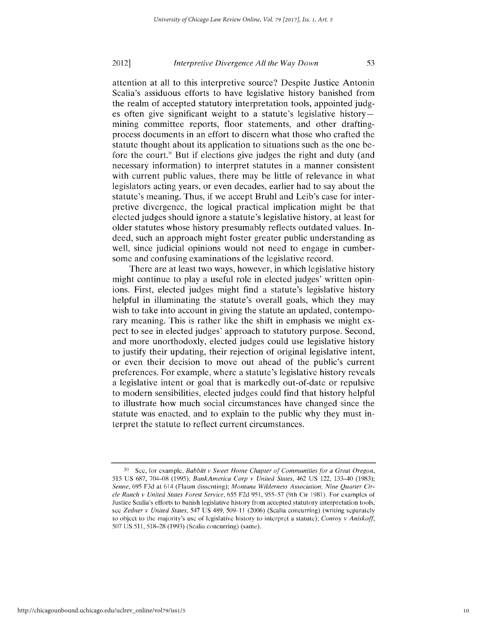attention at all to this interpretive source? Despite Justice Antonin Scalia's assiduous efforts to have legislative history banished from the realm of accepted statutory interpretation tools, appointed judges often give significant weight to a statute's legislative historymining committee reports, floor statements, and other draftingprocess documents in an effort to discern what those who crafted the statute thought about its application to situations such as the one before the court." But if elections give judges the right and duty (and necessary information) to interpret statutes in a manner consistent with current public values, there may be little of relevance in what legislators acting years, or even decades, earlier had to say about the statute's meaning. Thus, if we accept Bruhl and Leib's case for interpretive divergence, the logical practical implication might be that elected judges should ignore a statute's legislative history, at least for older statutes whose history presumably reflects outdated values. Indeed, such an approach might foster greater public understanding as well, since judicial opinions would not need to engage in cumbersome and confusing examinations of the legislative record.

There are at least two ways, however, in which legislative history might continue to play a useful role in elected judges' written opinions. First, elected judges might find a statute's legislative history helpful in illuminating the statute's overall goals, which they may wish to take into account in giving the statute an updated, contemporary meaning. This is rather like the shift in emphasis we might expect to see in elected judges' approach to statutory purpose. Second, and more unorthodoxly, elected judges could use legislative history to justify their updating, their rejection of original legislative intent, or even their decision to move out ahead of the public's current preferences. For example, where a statute's legislative history reveals a legislative intent or goal that is markedly out-of-date or repulsive to modern sensibilities, elected judges could find that history helpful to illustrate how much social circumstances have changed since the statute was enacted, and to explain to the public why they must interpret the statute to reflect current circumstances.

53

**<sup>30</sup>** See, for example, *Babbitt* v *Sweet Home Chapter of* Communities for a Great Oregon, 515 US 687, 704-08 (1995); *BankAmerica Corp v United States,* 462 US 122, 133-40 (1983); *Senne,* 695 F3d at 614 (Flaum dissenting); *Montana Wilderness Association, Nine Quarter Circle Ranch* v *United States Forest Service,* 655 F2d 951, 955 57 (9th Cir 1981). For examples of Justice Scalia's efforts to banish legislative history from accepted statutory interpretation tools, see *Zedner v United States*, 547 US 489, 509-11 (2006) (Scalia concurring) (writing separately to object to the majority's use of legislative history to interpret a statute); *Conroy* v *Aniskoff,* 507 US 511, 518-28 (1993) (Scalia concurring) (same).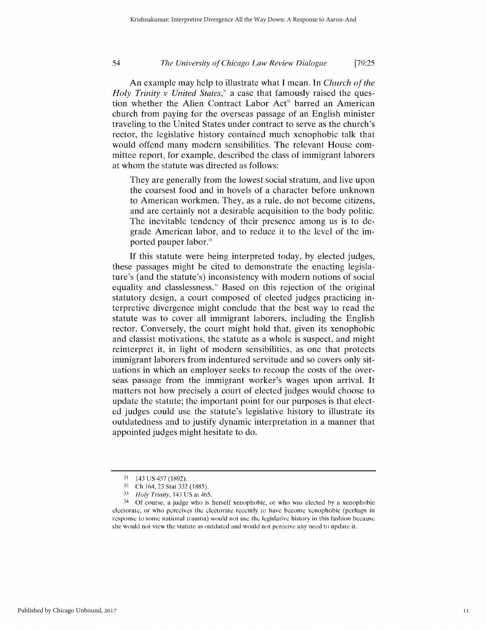An example may help to illustrate what I mean. In *Church of the Holy Trinity v United States,"* a case that famously raised the question whether the Alien Contract Labor Act<sup>32</sup> barred an American church from paying for the overseas passage of an English minister traveling to the United States under contract to serve as the church's rector, the legislative history contained much xenophobic talk that would offend many modern sensibilities. The relevant House committee report, for example, described the class of immigrant laborers at whom the statute was directed as follows:

They are generally from the lowest social stratum, and live upon the coarsest food and in hovels of a character before unknown to American workmen. They, as a rule, do not become citizens, and are certainly not a desirable acquisition to the body politic. The inevitable tendency of their presence among us is to degrade American labor, and to reduce it to the level of the imported pauper labor."

If this statute were being interpreted today, by elected judges, these passages might be cited to demonstrate the enacting legislature's (and the statute's) inconsistency with modern notions of social equality and classlessness." Based on this rejection of the original statutory design, a court composed of elected judges practicing interpretive divergence might conclude that the best way to read the statute was to cover all immigrant laborers, including the English rector. Conversely, the court might hold that, given its xenophobic and classist motivations, the statute as a whole is suspect, and might reinterpret it, in light of modern sensibilities, as one that protects immigrant laborers from indentured servitude and so covers only situations in which an employer seeks to recoup the costs of the overseas passage from the immigrant worker's wages upon arrival. It matters not how precisely a court of elected judges would choose to update the statute; the important point for our purposes is that elected judges could use the statute's legislative history to illustrate its outdatedness and to justify dynamic interpretation in a manner that appointed judges might hesitate to do.

**<sup>31</sup>** 143 US 457 (1892).

**<sup>32</sup>**Ch 164, 23 Star 332 (1885).

*<sup>33</sup>Holy Trinity,* 143 US at 465.

<sup>34</sup>**Of** course, a judge who is herself xenophobic, or who was elected by a xenophobic electorate, or who perceives the electorate recently to have become xenophobic (perhaps in response to some national trauma) would not use the legislative history in this fashion because she would not view the statute as outdated and would not perceive any need to update it.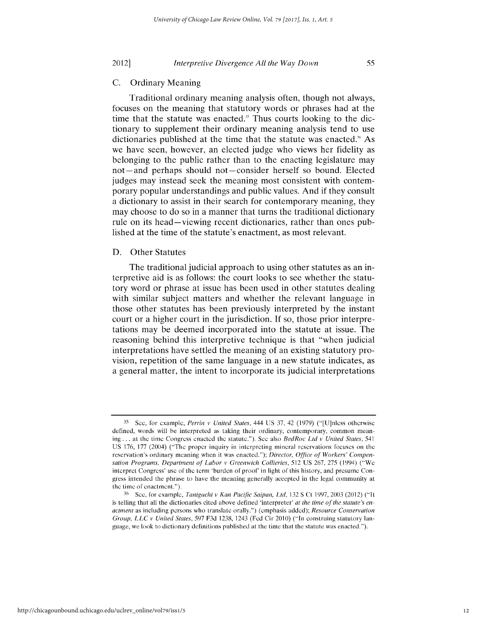## C. Ordinary Meaning

Traditional ordinary meaning analysis often, though not always, focuses on the meaning that statutory words or phrases had at the time that the statute was enacted.'s Thus courts looking to the dictionary to supplement their ordinary meaning analysis tend to use dictionaries published at the time that the statute was enacted." As we have seen, however, an elected judge who views her fidelity as belonging to the public rather than to the enacting legislature may not-and perhaps should not-consider herself so bound. Elected judges may instead seek the meaning most consistent with contemporary popular understandings and public values. And if they consult a dictionary to assist in their search for contemporary meaning, they may choose to do so in a manner that turns the traditional dictionary rule on its head—viewing recent dictionaries, rather than ones published at the time of the statute's enactment, as most relevant.

### D. Other Statutes

The traditional judicial approach to using other statutes as an interpretive aid is as follows: the court looks to see whether the statutory word or phrase at issue has been used in other statutes dealing with similar subject matters and whether the relevant language in those other statutes has been previously interpreted by the instant court or a higher court in the jurisdiction. **If** so, those prior interpretations may be deemed incorporated into the statute at issue. The reasoning behind this interpretive technique is that "when judicial interpretations have settled the meaning of an existing statutory provision, repetition of the same language in a new statute indicates, as a general matter, the intent to incorporate its judicial interpretations

**<sup>35</sup>**See, for example, *Perrin v United States,* 444 US 37, 42 (1979) ("[U]nlcss otherwise defined, words will be interpreted as taking their ordinary, contemporary, common meaning... at the time Congress enacted the statute."). Sec also *BedRoc Ltd v United States,* 541 US 176, 177 (2004) ("The proper inquiry in interpreting mineral reservations focuses on the reservation's ordinary meaning when it was enacted."); *Director, Office of Workers' Compensation Programs, Department of Labor v Greenwich Collieries,* 512 US 267, 275 (1994) ("We interpret Congress' use of the term 'burden of proof' in light of this history, and presume Congress intended the phrase to have the meaning generally accepted in the legal community at the time of enactment.").

<sup>&</sup>lt;sup>36</sup> Sec, for example, *Taniguchi v Kan Pacific Saipan, Ltd*, 132 S Ct 1997, 2003 (2012) ("It is telling that all the dictionaries cited above defined 'interpreter' *at the time of the statute's enactment* as including persons who translate orally.") (emphasis added); *Resource Conservation Group, LLC v United States,* 597 F3d 1238, 1243 (Fed Cir 2010) ("In construing statutory language, we look to dictionary definitions published at the time that the statute was enacted.").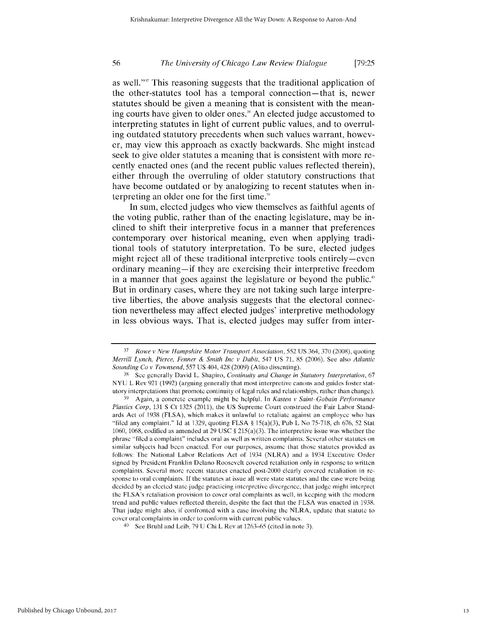as well."<sup>37</sup> This reasoning suggests that the traditional application of the other-statutes tool has a temporal connection-that is, newer statutes should be given a meaning that is consistent with the meaning courts have given to older ones." An elected judge accustomed to interpreting statutes in light of current public values, and to overruling outdated statutory precedents when such values warrant, however, may view this approach as exactly backwards. She might instead seek to give older statutes a meaning that is consistent with more recently enacted ones (and the recent public values reflected therein), either through the overruling of older statutory constructions that have become outdated or **by** analogizing to recent statutes when interpreting an older one **for** the first time."

In sum, elected judges who view themselves as faithful agents of the voting public, rather than of the enacting legislature, may be inclined to shift their interpretive focus in a manner that preferences contemporary over historical meaning, even when applying traditional tools of statutory interpretation. To be sure, elected judges might reject all of these traditional interpretive tools entirely-even ordinary meaning-if they are exercising their interpretive freedom in a manner that goes against the legislature or beyond the public." But in ordinary cases, where they are not taking such large interpretive liberties, the above analysis suggests that the electoral connection nevertheless may affect elected judges' interpretive methodology in less obvious ways. That is, elected judges may suffer from inter-

*<sup>37</sup>Rowe v New Hampshire Motor Transport Association,* 552 US 364, 370 (2008), quoting *Merrill Lynch, Pierce, Fenner & Smith Inc v Dabit,* 547 US 71, 85 (2006). See also *Atlantic Sounding Co v Townsend,* 557 US 404, 428 (2009) (Alito dissenting).

**<sup>38</sup>**Sec generally David L. Shapiro, *Continuity and Change in Statutory Interpretation,* 67 NYU L Rev 921 (1992) (arguing generally that most interpretive canons and guides foster statutory interpretations that promote continuity of legal rules and relationships, rather than change).

**<sup>39</sup>**Again, a concrete example might be helpful. In *Kasten v Saint Gobain Performance Plastics Corp,* 131 **S** Ct 1325 (2011), the US Supreme Court construed the Fair Labor Standards Act of 1938 (FLSA), which makes it unlawful to retaliate against an employee who has "filed any complaint." Id at 1329, quoting FLSA  $\S 15(a)(3)$ , Pub L No 75-718, ch 676, 52 Stat 1060, 1068, codified as amended at 29 USC  $\S$  215(a)(3). The interpretive issue was whether the phrase "ilcd a complaint" includes oral as well as written complaints. Several other statutes on similar subjects had been enacted. For our purposes, assume that those statutes provided as follows: The National Labor Relations Act of 1934 (NLRA) and a 1934 Executive Order signed by President Franklin Dclano Roosevelt covered retaliation only in response to written complaints. Several more recent statutes enacted post-2000 clearly covered retaliation in **re**sponse to oral complaints. **If** the statutes at issue all were state statutes and the case were being decided by an elected state judge practicing interpretive divergence, that judge might interpret the FLSA's retaliation provision to cover oral complaints as well, in keeping with the modern trend and public values reflected therein, despite the fact that the FLSA was enacted in 1938. That judge might also, if confronted with a case involving the NLRA, update that statute to cover oral complaints in order to conform with current public values.

**<sup>40</sup>**See Bruhl and Leib, 79 U Chi L Rev at 1263-65 (cited in note 3).